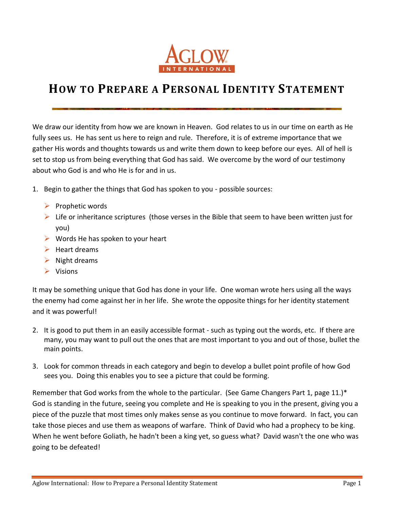

## **HOW TO PREPARE A PERSONAL IDENTITY STATEMENT**

We draw our identity from how we are known in Heaven. God relates to us in our time on earth as He fully sees us. He has sent us here to reign and rule. Therefore, it is of extreme importance that we gather His words and thoughts towards us and write them down to keep before our eyes. All of hell is set to stop us from being everything that God has said. We overcome by the word of our testimony about who God is and who He is for and in us.

- 1. Begin to gather the things that God has spoken to you possible sources:
	- $\triangleright$  Prophetic words
	- $\triangleright$  Life or inheritance scriptures (those verses in the Bible that seem to have been written just for you)
	- $\triangleright$  Words He has spoken to your heart
	- $\blacktriangleright$  Heart dreams
	- $\triangleright$  Night dreams
	- $\triangleright$  Visions

It may be something unique that God has done in your life. One woman wrote hers using all the ways the enemy had come against her in her life. She wrote the opposite things for her identity statement and it was powerful!

- 2. It is good to put them in an easily accessible format such as typing out the words, etc. If there are many, you may want to pull out the ones that are most important to you and out of those, bullet the main points.
- 3. Look for common threads in each category and begin to develop a bullet point profile of how God sees you. Doing this enables you to see a picture that could be forming.

Remember that God works from the whole to the particular. (See Game Changers Part 1, page 11.)\* God is standing in the future, seeing you complete and He is speaking to you in the present, giving you a piece of the puzzle that most times only makes sense as you continue to move forward. In fact, you can take those pieces and use them as weapons of warfare. Think of David who had a prophecy to be king. When he went before Goliath, he hadn't been a king yet, so guess what? David wasn't the one who was going to be defeated!